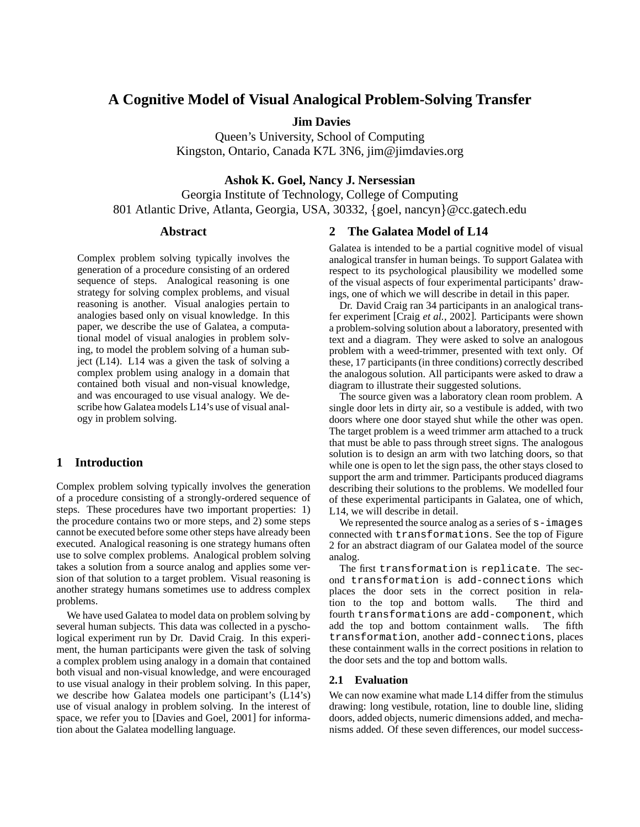# **A Cognitive Model of Visual Analogical Problem-Solving Transfer**

**Jim Davies**

Queen's University, School of Computing Kingston, Ontario, Canada K7L 3N6, jim@jimdavies.org

## **Ashok K. Goel, Nancy J. Nersessian**

Georgia Institute of Technology, College of Computing 801 Atlantic Drive, Atlanta, Georgia, USA, 30332, {goel, nancyn}@cc.gatech.edu

#### **Abstract**

Complex problem solving typically involves the generation of a procedure consisting of an ordered sequence of steps. Analogical reasoning is one strategy for solving complex problems, and visual reasoning is another. Visual analogies pertain to analogies based only on visual knowledge. In this paper, we describe the use of Galatea, a computational model of visual analogies in problem solving, to model the problem solving of a human subject (L14). L14 was a given the task of solving a complex problem using analogy in a domain that contained both visual and non-visual knowledge, and was encouraged to use visual analogy. We describe how Galatea models L14's use of visual analogy in problem solving.

#### **1 Introduction**

Complex problem solving typically involves the generation of a procedure consisting of a strongly-ordered sequence of steps. These procedures have two important properties: 1) the procedure contains two or more steps, and 2) some steps cannot be executed before some other steps have already been executed. Analogical reasoning is one strategy humans often use to solve complex problems. Analogical problem solving takes a solution from a source analog and applies some version of that solution to a target problem. Visual reasoning is another strategy humans sometimes use to address complex problems.

We have used Galatea to model data on problem solving by several human subjects. This data was collected in a pyschological experiment run by Dr. David Craig. In this experiment, the human participants were given the task of solving a complex problem using analogy in a domain that contained both visual and non-visual knowledge, and were encouraged to use visual analogy in their problem solving. In this paper, we describe how Galatea models one participant's (L14's) use of visual analogy in problem solving. In the interest of space, we refer you to [Davies and Goel, 2001] for information about the Galatea modelling language.

#### **2 The Galatea Model of L14**

Galatea is intended to be a partial cognitive model of visual analogical transfer in human beings. To support Galatea with respect to its psychological plausibility we modelled some of the visual aspects of four experimental participants' drawings, one of which we will describe in detail in this paper.

Dr. David Craig ran 34 participants in an analogical transfer experiment [Craig *et al.*, 2002]. Participants were shown a problem-solving solution about a laboratory, presented with text and a diagram. They were asked to solve an analogous problem with a weed-trimmer, presented with text only. Of these, 17 participants (in three conditions) correctly described the analogous solution. All participants were asked to draw a diagram to illustrate their suggested solutions.

The source given was a laboratory clean room problem. A single door lets in dirty air, so a vestibule is added, with two doors where one door stayed shut while the other was open. The target problem is a weed trimmer arm attached to a truck that must be able to pass through street signs. The analogous solution is to design an arm with two latching doors, so that while one is open to let the sign pass, the other stays closed to support the arm and trimmer. Participants produced diagrams describing their solutions to the problems. We modelled four of these experimental participants in Galatea, one of which, L14, we will describe in detail.

We represented the source analog as a series of  $s$  – images connected with transformations. See the top of Figure 2 for an abstract diagram of our Galatea model of the source analog.

The first transformation is replicate. The second transformation is add-connections which places the door sets in the correct position in relation to the top and bottom walls. The third and fourth transformations are add-component, which add the top and bottom containment walls. The fifth transformation, another add-connections, places these containment walls in the correct positions in relation to the door sets and the top and bottom walls.

#### **2.1 Evaluation**

We can now examine what made L14 differ from the stimulus drawing: long vestibule, rotation, line to double line, sliding doors, added objects, numeric dimensions added, and mechanisms added. Of these seven differences, our model success-